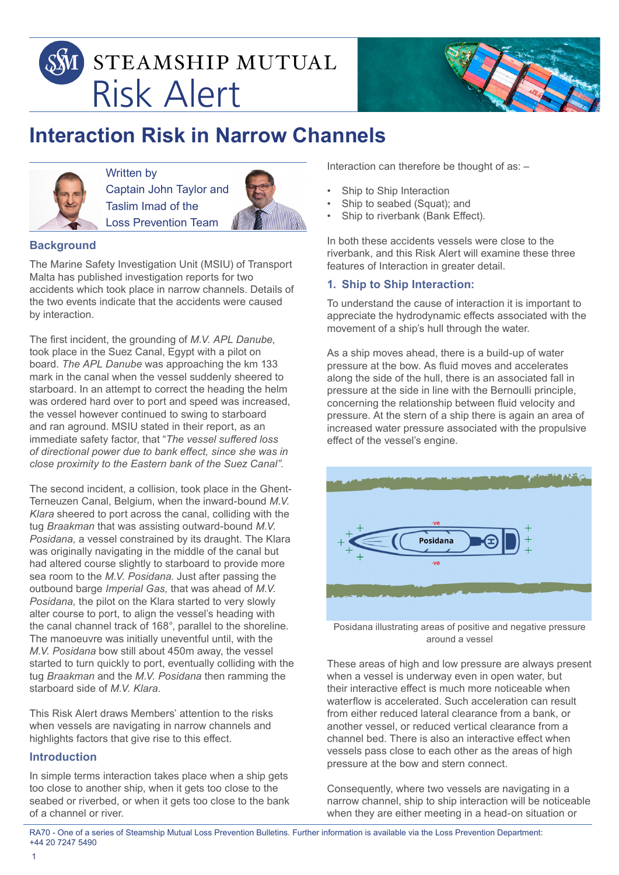



# **Interaction Risk in Narrow Channels**



Written by Captain John Taylor and Taslim Imad of the Loss Prevention Team



# **Background**

The Marine Safety Investigation Unit (MSIU) of Transport Malta has published investigation reports for two accidents which took place in narrow channels. Details of the two events indicate that the accidents were caused by interaction.

The first incident, the grounding of *M.V. APL Danube*, took place in the Suez Canal, Egypt with a pilot on board. *The APL Danube* was approaching the km 133 mark in the canal when the vessel suddenly sheered to starboard. In an attempt to correct the heading the helm was ordered hard over to port and speed was increased, the vessel however continued to swing to starboard and ran aground. MSIU stated in their report, as an immediate safety factor, that "*The vessel suffered loss of directional power due to bank effect, since she was in close proximity to the Eastern bank of the Suez Canal".*

The second incident, a collision, took place in the Ghent-Terneuzen Canal, Belgium, when the inward-bound *M.V. Klara* sheered to port across the canal, colliding with the tug *Braakman* that was assisting outward-bound *M.V. Posidana,* a vessel constrained by its draught. The Klara was originally navigating in the middle of the canal but had altered course slightly to starboard to provide more sea room to the *M.V. Posidana*. Just after passing the outbound barge *Imperial Gas,* that was ahead of *M.V. Posidana,* the pilot on the Klara started to very slowly alter course to port, to align the vessel's heading with the canal channel track of 168°, parallel to the shoreline. The manoeuvre was initially uneventful until, with the *M.V. Posidana* bow still about 450m away, the vessel started to turn quickly to port, eventually colliding with the tug *Braakman* and the *M.V. Posidana* then ramming the starboard side of *M.V. Klara.*

This Risk Alert draws Members' attention to the risks when vessels are navigating in narrow channels and highlights factors that give rise to this effect.

### **Introduction**

In simple terms interaction takes place when a ship gets too close to another ship, when it gets too close to the seabed or riverbed, or when it gets too close to the bank of a channel or river.

Interaction can therefore be thought of as: –

- Ship to Ship Interaction
- Ship to seabed (Squat); and
- Ship to riverbank (Bank Effect).

In both these accidents vessels were close to the riverbank, and this Risk Alert will examine these three features of Interaction in greater detail.

## **1. Ship to Ship Interaction:**

To understand the cause of interaction it is important to appreciate the hydrodynamic effects associated with the movement of a ship's hull through the water.

As a ship moves ahead, there is a build-up of water pressure at the bow. As fluid moves and accelerates along the side of the hull, there is an associated fall in pressure at the side in line with the Bernoulli principle, concerning the relationship between fluid velocity and pressure. At the stern of a ship there is again an area of increased water pressure associated with the propulsive effect of the vessel's engine.



Posidana illustrating areas of positive and negative pressure around a vessel

These areas of high and low pressure are always present when a vessel is underway even in open water, but their interactive effect is much more noticeable when waterflow is accelerated. Such acceleration can result from either reduced lateral clearance from a bank, or another vessel, or reduced vertical clearance from a channel bed. There is also an interactive effect when vessels pass close to each other as the areas of high pressure at the bow and stern connect.

Consequently, where two vessels are navigating in a narrow channel, ship to ship interaction will be noticeable when they are either meeting in a head-on situation or

RA70 - One of a series of Steamship Mutual Loss Prevention Bulletins. Further information is available via the Loss Prevention Department: +44 20 7247 5490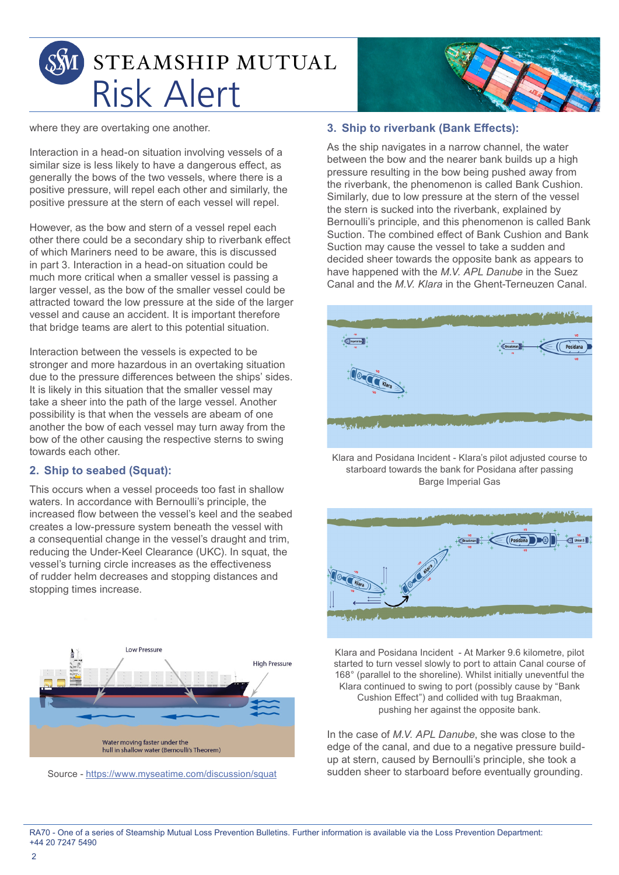

where they are overtaking one another.

Interaction in a head-on situation involving vessels of a similar size is less likely to have a dangerous effect, as generally the bows of the two vessels, where there is a positive pressure, will repel each other and similarly, the positive pressure at the stern of each vessel will repel.

However, as the bow and stern of a vessel repel each other there could be a secondary ship to riverbank effect of which Mariners need to be aware, this is discussed in part 3. Interaction in a head-on situation could be much more critical when a smaller vessel is passing a larger vessel, as the bow of the smaller vessel could be attracted toward the low pressure at the side of the larger vessel and cause an accident. It is important therefore that bridge teams are alert to this potential situation.

Interaction between the vessels is expected to be stronger and more hazardous in an overtaking situation due to the pressure differences between the ships' sides. It is likely in this situation that the smaller vessel may take a sheer into the path of the large vessel. Another possibility is that when the vessels are abeam of one another the bow of each vessel may turn away from the bow of the other causing the respective sterns to swing towards each other.

## **2. Ship to seabed (Squat):**

This occurs when a vessel proceeds too fast in shallow waters. In accordance with Bernoulli's principle, the increased flow between the vessel's keel and the seabed creates a low-pressure system beneath the vessel with a consequential change in the vessel's draught and trim, reducing the Under-Keel Clearance (UKC). In squat, the vessel's turning circle increases as the effectiveness of rudder helm decreases and stopping distances and stopping times increase.



Source - https://www.myseatime.com/discussion/squat



#### **3. Ship to riverbank (Bank Effects):**

As the ship navigates in a narrow channel, the water between the bow and the nearer bank builds up a high pressure resulting in the bow being pushed away from the riverbank, the phenomenon is called Bank Cushion. Similarly, due to low pressure at the stern of the vessel the stern is sucked into the riverbank, explained by Bernoulli's principle, and this phenomenon is called Bank Suction. The combined effect of Bank Cushion and Bank Suction may cause the vessel to take a sudden and decided sheer towards the opposite bank as appears to have happened with the *M.V. APL Danube* in the Suez Canal and the *M.V. Klara* in the Ghent-Terneuzen Canal.



Klara and Posidana Incident - Klara's pilot adjusted course to starboard towards the bank for Posidana after passing Barge Imperial Gas



Klara and Posidana Incident - At Marker 9.6 kilometre, pilot started to turn vessel slowly to port to attain Canal course of 168° (parallel to the shoreline). Whilst initially uneventful the Klara continued to swing to port (possibly cause by "Bank Cushion Effect") and collided with tug Braakman, pushing her against the opposite bank.

In the case of *M.V. APL Danube*, she was close to the edge of the canal, and due to a negative pressure buildup at stern, caused by Bernoulli's principle, she took a sudden sheer to starboard before eventually grounding.